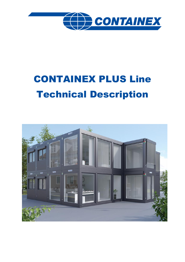

# CONTAINEX PLUS Line Technical Description

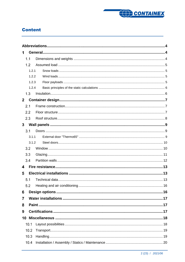

# **Content**

| 1              |       |  |  |  |
|----------------|-------|--|--|--|
| 1.1            |       |  |  |  |
| 1.2            |       |  |  |  |
|                | 1.2.1 |  |  |  |
|                | 1.2.2 |  |  |  |
|                | 1.2.3 |  |  |  |
|                | 1.2.4 |  |  |  |
| 1.3            |       |  |  |  |
| $\overline{2}$ |       |  |  |  |
| 2.1            |       |  |  |  |
| 2.2            |       |  |  |  |
| 2.3            |       |  |  |  |
| 3 <sub>1</sub> |       |  |  |  |
| 3.1            |       |  |  |  |
|                | 3.1.1 |  |  |  |
|                | 3.1.2 |  |  |  |
| 3.2            |       |  |  |  |
| 3.3            |       |  |  |  |
| 3.4            |       |  |  |  |
| 4              |       |  |  |  |
| 5              |       |  |  |  |
| 5.1            |       |  |  |  |
| 5.2            |       |  |  |  |
| 6              |       |  |  |  |
| 7              |       |  |  |  |
| 8              |       |  |  |  |
| 9              |       |  |  |  |
| 10             |       |  |  |  |
| 10.1           |       |  |  |  |
| 10.2           |       |  |  |  |
| 10.3           |       |  |  |  |
| 10.4           |       |  |  |  |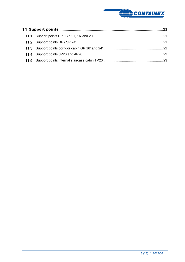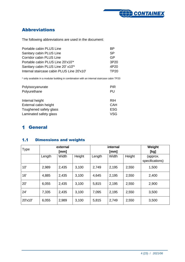

# <span id="page-3-0"></span>Abbreviations

The following abbreviations are used in the document:

| Portable cabin PLUS Line                   | <b>BP</b>        |
|--------------------------------------------|------------------|
| Sanitary cabin PLUS Line                   | <b>SP</b>        |
| Corridor cabin PLUS Line                   | GP               |
| Portable cabin PLUS Line 20'x10"*          | 3P <sub>20</sub> |
| Sanitary cabin PLUS Line 20' x10"*         | 4P20             |
| Internal staircase cabin PLUS Line 20'x10' | TP20             |

\* only available in a modular building in combination with an internal staircase cabin TP20

| Polyisocyanurate<br>Polyurethane | <b>PIR</b><br>PU |
|----------------------------------|------------------|
| Internal height                  | <b>RIH</b>       |
| External cabin height            | <b>CAH</b>       |
| Toughened safety glass           | <b>ESG</b>       |
| Laminated safety glass           | VSG              |

# <span id="page-3-1"></span>General

#### <span id="page-3-2"></span> $1.1$ Dimensions and weights

| Type    |        | external<br>[mm] |        |        | internal<br>[mm] |        | Weight<br>[kg]              |
|---------|--------|------------------|--------|--------|------------------|--------|-----------------------------|
|         | Length | Width            | Height | Length | Width            | Height | (approx.<br>specifications) |
| 10'     | 2,989  | 2,435            | 3,100  | 2,749  | 2,195            | 2,550  | 1,500                       |
| 16'     | 4,885  | 2,435            | 3,100  | 4,645  | 2,195            | 2,550  | 2,400                       |
| 20'     | 6,055  | 2,435            | 3,100  | 5,815  | 2,195            | 2,550  | 2,900                       |
| 24'     | 7,335  | 2,435            | 3,100  | 7,095  | 2,195            | 2,550  | 3,500                       |
| 20'x10' | 6,055  | 2,989            | 3,100  | 5,815  | 2,749            | 2,550  | 3,500                       |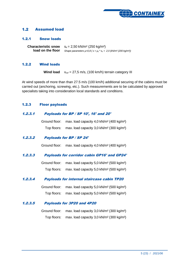

#### <span id="page-4-0"></span> $1.2$ Assumed load

### <span id="page-4-1"></span>1.2.1 Snow loads

**Characteristic snow load on the floor**  $s_k = 2,50$  kN/m<sup>2</sup> (250 kg/m<sup>2</sup>) *Shape parameters µ=0,8 ( s = µ1 \* sk = 2,0 (kN/m² (200 kg/m²))*

### <span id="page-4-2"></span>1.2.2 Wind loads

**Wind load** v*ref* = 27,5 m/s, (100 km/h) terrain category III

At wind speeds of more than than 27.5 m/s (100 km/h) additional securing of the cabins must be carried out (anchoring, screwing, etc.). Such measurements are to be calculated by approved specialists taking into consideration local standards and conditions.

### <span id="page-4-3"></span>1.2.3 Floor payloads

### 1.2.3.1 Payloads for BP / SP 10', 16' and 20'

| Ground floor: | max. load capacity 4,0 kN/m <sup>2</sup> (400 kg/m <sup>2</sup> ) |
|---------------|-------------------------------------------------------------------|
| Top floors:   | max. load capacity $3.0 \text{ kN/m}^2$ (300 kg/m <sup>2</sup> )  |

### 1.2.3.2 Payloads for BP / SP 24'

Ground floor: max. load capacity 4,0 kN/m² (400 kg/m²)

### 1.2.3.3 Payloads for corridor cabin GP16' and GP24'

Ground floor: max. load capacity 5,0 kN/m² (500 kg/m²) Top floors: max. load capacity 5,0 kN/m² (500 kg/m²)

### 1.2.3.4 Payloads for internal staircase cabin TP20

| Ground floor: max. load capacity 5,0 kN/m <sup>2</sup> (500 kg/m <sup>2</sup> ) |
|---------------------------------------------------------------------------------|
| Top floors: max. load capacity 5,0 kN/m <sup>2</sup> (500 kg/m <sup>2</sup> )   |

### 1.2.3.5 Payloads for 3P20 and 4P20

Ground floor: max. load capacity 3,0 kN/m² (300 kg/m²) Top floors: max. load capacity 3,0 kN/m² (300 kg/m²)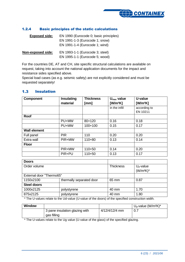

### <span id="page-5-0"></span>1.2.4 Basic principles of the static calculations

| <b>Exposed side:</b> | EN 1990 (Eurocode 0; basic principles)                           |
|----------------------|------------------------------------------------------------------|
|                      | EN 1991-1-3 (Eurocode 1; snow)<br>EN 1991-1-4 (Eurocode 1; wind) |
| Non-exposed side:    | EN 1993-1-1 (Eurocode 3; steel)                                  |
|                      | EN 1995-1-1 (Eurocode 5; wood)                                   |

For the countries DE, AT and CH, site specific structural calculations are available on request, taking into account the national application documents for the impact and resistance sides specified above.

Special load cases (as e.g. seismic safety) are not explicitly considered and must be requested separately!

#### <span id="page-5-1"></span> $1.3$ Insulation

| <b>Component</b>    | Insulating | <b>Thickness</b> | $U_{\text{max}}$ value | U-value      |
|---------------------|------------|------------------|------------------------|--------------|
|                     | material   | [mm]             | $[W/m^2K]$             | $[W/m^2K]$   |
|                     |            |                  | in the infill          | according to |
|                     |            |                  |                        | EN 10211     |
| <b>Roof</b>         |            |                  |                        |              |
|                     | PU+MW      | 80+120           | 0.16                   | 0.18         |
|                     | PU+MW      | $100+100$        | 0.15                   | 0.17         |
| <b>Wall element</b> |            |                  |                        |              |
| Full panel          | <b>PIR</b> | 110              | 0.20                   | 0.20         |
| Extra wall          | PIR+MW     | $110 + 80$       | 0.13                   | 0.14         |
| <b>Floor</b>        |            |                  |                        |              |
|                     | PIR+MW     | $110+50$         | 0.14                   | 0.20         |
|                     | PIR+PU     | $110+50$         | 0.13                   | 0.17         |

| <b>Doors</b>             |                          |                  |              |
|--------------------------|--------------------------|------------------|--------------|
| Order volume             |                          | <b>Thickness</b> | $Ud$ -value  |
|                          |                          |                  | $(W/m^2K)^*$ |
| External door "Thermo65" |                          |                  |              |
| 1150x2100                | thermally separated door | 65 mm            | 0.87         |
| <b>Steel doors</b>       |                          |                  |              |
| 1000x2125                | polystyrene              | 40 mm            | 1.70         |
| 875x2125                 | polystyrene              | 40 mm            | 1.80         |

\* The U-values relate to the Ud-value (U-value of the doors) of the specified construction width.

| <b>Window</b> |                                |                | $U_q$ -value (W/m <sup>2</sup> K)* |
|---------------|--------------------------------|----------------|------------------------------------|
|               | 3 pane insulation glazing with | 4/12/4/12/4 mm | 0.7                                |
|               | gas filling                    |                |                                    |

\* The U-values relate to the Ug value (U-value of the glass) of the specified glazing.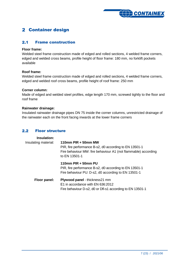

# <span id="page-6-0"></span>2 Container design

#### <span id="page-6-1"></span> $2.1$ Frame construction

### **Floor frame:**

Welded steel frame construction made of edged and rolled sections, 4 welded frame corners, edged and welded cross beams, profile height of floor frame: 180 mm, no forklift pockets available

### **Roof frame:**

Welded steel frame construction made of edged and rolled sections, 4 welded frame corners, edged and welded roof cross beams, profile height of roof frame: 250 mm

### **Corner column:**

Made of edged and welded steel profiles, edge length 170 mm, screwed tightly to the floor and roof frame

### **Rainwater drainage:**

Insulated rainwater drainage pipes DN 75 inside the corner columns, unrestricted drainage of the rainwater each on the front facing inwards at the lower frame corners

#### <span id="page-6-2"></span> $2.2<sub>2</sub>$ Floor structure

| <b>Insulation:</b><br>Insulating material: | 110mm PIR + 50mm MW<br>PIR, fire performance B-s2, d0 according to EN 13501-1<br>Fire behaviour MW: fire behaviour A1 (not flammable) according<br>to EN 13501-1 |  |  |
|--------------------------------------------|------------------------------------------------------------------------------------------------------------------------------------------------------------------|--|--|
|                                            | 110mm PIR + 50mm PU<br>PIR, fire performance B-s2, d0 according to EN 13501-1<br>Fire behaviour PU: D-s2, d0 according to EN 13501-1                             |  |  |
| Floor panel:                               | <b>Plywood panel - thickness21 mm</b><br>E1 in accordance with EN 636:2012<br>Fire behaviour D-s2, d0 or Dfl-s1 according to EN 13501-1                          |  |  |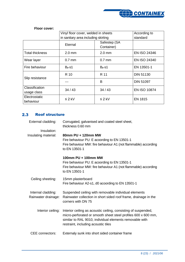

|                               | Vinyl floor cover, welded in sheets |                            | According to        |
|-------------------------------|-------------------------------------|----------------------------|---------------------|
|                               | in sanitary area including skirting |                            | standard            |
|                               | Eternal                             | Safestep (SA<br>Container) |                     |
| <b>Total thickness</b>        | $2.0 \text{ mm}$                    | $2.0$ mm                   | <b>EN ISO 24346</b> |
| Wear layer                    | $0.7$ mm                            | $0.7$ mm                   | <b>EN ISO 24340</b> |
| Fire behaviour                | $B_{fl}$ -s1                        | $B_{fl}$ -s1               | EN 13501-1          |
| Slip resistance               | R 10                                | R 11                       | <b>DIN 51130</b>    |
|                               |                                     | B                          | <b>DIN 51097</b>    |
| Classification<br>usage class | 34/43                               | 34/43                      | <b>EN ISO 10874</b> |
| Electrostatic<br>behaviour    | $\leq 2$ kV                         | $\leq$ 2 kV                | <b>EN 1815</b>      |

### **Floor cover:**

# <span id="page-7-0"></span>2.3 Roof structure

| External cladding:                        | Corrugated, galvanised and coated steel sheet,<br>thickness 0.60 mm                                                                                                                                                               |  |
|-------------------------------------------|-----------------------------------------------------------------------------------------------------------------------------------------------------------------------------------------------------------------------------------|--|
| Insulation:                               |                                                                                                                                                                                                                                   |  |
| Insulating material:                      | 80mm PU + 120mm MW<br>Fire behaviour PU: E acoording to EN 13501-1<br>Fire behaviour MW: fire behaviour A1 (not flammable) according<br>to EN 13501-1                                                                             |  |
|                                           | 100mm PU + 100mm MW<br>Fire behaviour PU: E acoording to EN 13501-1<br>Fire behaviour MW: fire behaviour A1 (not flammable) according<br>to EN 13501-1                                                                            |  |
| Ceiling sheeting:                         | 15mm plasterboard<br>Fire behaviour A2-s1, d0 acoording to EN 13501-1                                                                                                                                                             |  |
| Internal cladding:<br>Rainwater drainage: | Suspended ceiling with removable individual elements<br>Rainwater collection in short sided roof frame, drainage in the<br>corners with DN 75                                                                                     |  |
| Interior ceiling:                         | Interior ceiling as acoustic ceiling, consisting of suspended,<br>micro-perforated or smooth sheet steel profiles 600 x 600 mm,<br>similar to RAL 9010, individual elements removable with<br>restraint, including acoustic tiles |  |
| <b>CEE</b> connectors:                    | Externaly sunk into short sided container frame                                                                                                                                                                                   |  |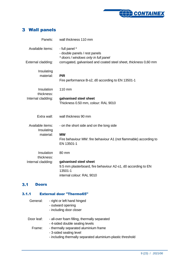

# <span id="page-8-0"></span>Wall panels

| Panels:                        | wall thickness 110 mm                                                                                                           |
|--------------------------------|---------------------------------------------------------------------------------------------------------------------------------|
| Available items:               | - full panel *<br>- double panels / rest panels<br>* doors / windows only in full panel                                         |
| External cladding:             | corrugated, galvanised and coated steel sheet, thickness 0,60 mm                                                                |
| Insulating<br>material:        | <b>PIR</b><br>Fire performance B-s2, d0 according to EN 13501-1                                                                 |
| Insulation<br>thickness:       | 110 mm                                                                                                                          |
| Internal cladding:             | galvanised steel sheet<br>Thickness 0.50 mm, colour: RAL 9010                                                                   |
| Extra wall:                    | wall thickness 90 mm                                                                                                            |
| Available items:<br>Insulating | - on the short side and on the long side                                                                                        |
| material:                      | <b>MW</b><br>Fire behaviour MW: fire behaviour A1 (not flammable) according to<br>EN 13501-1                                    |
| Insulation<br>thickness:       | 80 mm                                                                                                                           |
| Internal cladding:             | galvanised steel sheet<br>9.5 mm plasterboard, fire behaviour A2-s1, d0 according to EN<br>13501-1<br>internal colour: RAL 9010 |

# <span id="page-8-1"></span>3.1 Doors

# <span id="page-8-2"></span>3.1.1 External door "Thermo65"

| General:   | - right or left hand hinged<br>- outward opening<br>- including door closer                                                     |
|------------|---------------------------------------------------------------------------------------------------------------------------------|
| Door leaf: | - all-over foam filling, thermally separated<br>- 4-sided double sealing levels                                                 |
| Frame:     | - thermally separated aluminium frame<br>- 3-sided sealing level<br>- including thermally separated aluminium-plastic threshold |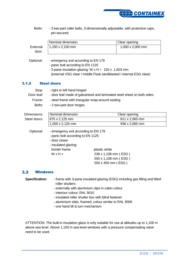

Belts: - 3 two-part roller belts, 3-dimensionally adjustable, with protective caps, pin-secured

|          | Nominal dimension | Clear opening           |
|----------|-------------------|-------------------------|
| External | 11,150 x 2,100 mm | $1,000 \times 2,005$ mm |
| door:    |                   |                         |

- Optional: emergency exit according to EN 179
	- panic bolt according to EN 1125
		- 3-pane insulation glazing: W  $x$  H = 150  $x$ , 1,603 mm (external VSG clear / middle Float sandblasted / internal ESG clear)

### <span id="page-9-0"></span>3.1.2 Steel doors

| Stop:<br>Door leaf: | - right or left hand hinged<br>- door leaf made of galvanised and laminated steel sheet on both sides                                                 |                                                                                     |
|---------------------|-------------------------------------------------------------------------------------------------------------------------------------------------------|-------------------------------------------------------------------------------------|
| Frame:              | - steel frame with triangular wrap-around sealing                                                                                                     |                                                                                     |
| Belts:              | - 2 two-part door hinges                                                                                                                              |                                                                                     |
| Dimensions:         | Nominal dimension                                                                                                                                     | Clear opening                                                                       |
| Steel doors:        | 875 x 2,125 mm                                                                                                                                        | 811 x 2,065 mm                                                                      |
|                     | 1,000 x 2,125 mm                                                                                                                                      | 936 x 2,065 mm                                                                      |
| Optional:           | - emergency exit according to EN 179<br>- panic bolt according to EN 1125<br>- door closer<br>- insulated glazing:<br>border frame:<br>$W \times H =$ | plastic white<br>238 x 1,108 mm (ESG)<br>550 x 1,108 mm (ESG)<br>550 x 450 mm (ESG) |

#### <span id="page-9-1"></span> $3.2$ Windows

| <b>Specification:</b> | - frame with 3-pane insulated glazing (ESG) including gas filling and fitted |
|-----------------------|------------------------------------------------------------------------------|
|                       | roller shutters                                                              |

- externally with aluminium clips in cabin colour
- interiour colour: RAL 9010
- insulated roller shutter box with blind fastener
- aluminium slats, foamed, colour similar to RAL 9006
- one hand tilt & turn mechanism

ATTENTION: The built-in insulation glass is only suitable for use at altitudes up to 1,100 m above sea level. Above 1,100 m sea level windows with a pressure compensating valve need to be used.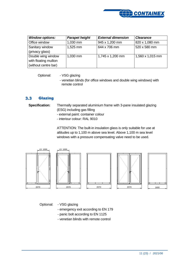

| <b>Window options:</b> | <b>Parapet height</b> | <b>External dimension</b> | <b>Clearance</b> |
|------------------------|-----------------------|---------------------------|------------------|
| Office window          | 1,030 mm              | 945 x 1,200 mm            | 820 x 1,080 mm   |
| Sanitary window        | 1,525 mm              | 644 x 706 mm              | 520 x 580 mm     |
| (privacy glass)        |                       |                           |                  |
| Double wing window     | 1,030 mm              | 1,745 x 1,200 mm          | 1,560 x 1,015 mm |
| with floating mullion  |                       |                           |                  |
| (without centre bar)   |                       |                           |                  |

Optional: - VSG glazing

- venetian blinds (for office windows and double wing windows) with remote control

#### <span id="page-10-0"></span> $3.3<sub>1</sub>$ **Glazing**

**Specification:** Thermally separated aluminium frame with 3-pane insulated glazing (ESG) including gas filling

- external paint: container colour
- interiour colour: RAL 9010

ATTENTION: The built-in insulation glass is only suitable for use at altitudes up to 1,100 m above sea level. Above 1,100 m sea level windows with a pressure compensating valve need to be used.









Optional: - VSG glazing

- emergency exit according to EN 179
- panic bolt according to EN 1125
- venetian blinds with remote control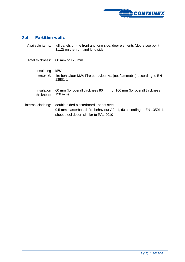

# <span id="page-11-0"></span>Partition walls

| Available items:         | full panels on the front and long side, door elements (doors see point<br>3.1.2) on the front and long side                                                |
|--------------------------|------------------------------------------------------------------------------------------------------------------------------------------------------------|
|                          | Total thickness: 80 mm or 120 mm                                                                                                                           |
| Insulating<br>material:  | <b>MW</b><br>fire behaviour MW: Fire behaviour A1 (not flammable) according to EN<br>13501-1                                                               |
| Insulation<br>thickness: | 60 mm (for overall thickness 80 mm) or 100 mm (for overall thickness<br>$120$ mm)                                                                          |
| internal cladding:       | double-sided plasterboard - sheet steel<br>9.5 mm plasterboard, fire behaviour A2-s1, d0 according to EN 13501-1<br>sheet steel decor: similar to RAL 9010 |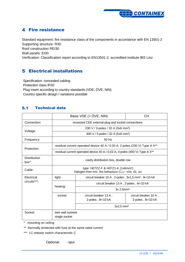

# <span id="page-12-0"></span>**4** Fire resistance

Standard equipment: fire resistance class of the components in accordance with EN 13501-2 Supporting structure: R30 Roof construction REI30

Wall panels: EI30

<span id="page-12-1"></span>Verification: Classification report according to EN13501-2, accredited institute IBS Linz

# Electrical installations

Specification: concealed cabling Protection class IP20 Plug insert according to country standards (VDE, ÖVE, NIN) Country specific design / variations possible

#### <span id="page-12-2"></span> $5.1$ Technical data

|                            | Basis VDE $(=\ddot{O}VE, NIN)$<br>CН                                                                           |                                                                                        |                                            |
|----------------------------|----------------------------------------------------------------------------------------------------------------|----------------------------------------------------------------------------------------|--------------------------------------------|
| Connection:                |                                                                                                                | recessed CEE external plug and socket connections                                      |                                            |
|                            |                                                                                                                | 230 V / 3-poles / 32 A (3x6 mm <sup>2</sup> )                                          |                                            |
| Voltage:                   |                                                                                                                | 400 V / 5-poles / 32 A (5x6 mm <sup>2</sup> )                                          |                                            |
| Frequency:                 |                                                                                                                | $50$ Hz                                                                                |                                            |
| Protection:                |                                                                                                                | residual current operated device 40 A / 0.03 A, 2-poles (230 V) Type A X <sup>**</sup> |                                            |
|                            | residual current operated device 40 A / 0,03 A, 4-poles (400 V) Type A X <sup>**</sup>                         |                                                                                        |                                            |
| <b>Distribution</b><br>box | cavity distribution box, double row                                                                            |                                                                                        |                                            |
| Cable:                     | type: H07ZZ-F & H07Z1-K (1x6mm <sup>2</sup> )<br>halogen-free mix, fire behaviour C <sub>CA</sub> -s1b, d1, a1 |                                                                                        |                                            |
| Electrical                 | light:<br>circuit breaker 10 A, 2-poles, 3x1,5 mm <sup>2</sup> , lk<10 kA                                      |                                                                                        |                                            |
| circuits***:               |                                                                                                                | circuit breaker 13 A, 2-poles, Ik<10 kA                                                |                                            |
|                            | heating:                                                                                                       | 3x 2,5mm <sup>2</sup>                                                                  |                                            |
|                            | socket                                                                                                         | circuit breaker 13 A,<br>2-poles, Ik<10 kA                                             | circuit breaker 10 A,<br>2-poles, lk<10 kA |
|                            | $3x2.5$ mm <sup>2</sup>                                                                                        |                                                                                        |                                            |
| Socket:                    | twin wall sockets<br>single socket                                                                             |                                                                                        |                                            |

\* mounting on ceiling

\*\* thermally protected with fuse at the same rated current

\*\*\* LC-release switch characteristic C

Optional: - spur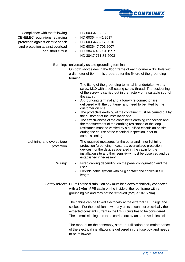

Compliance with the following CENELEC regulations regarding protection against electric shock and protection against overload and short circuit

- HD 60364-1:2008
- HD 60364-4-41:2017
- HD 60364-7-717:2010
- HD 60364-7-701:2007
- HD 384.4.482 S1:1997
- HD 384.7.711 S1:2003

Earthing: universally usable grounding terminal:

On both short sides in the floor frame of each corner a drill hole with a diameter of 9.4 mm is prepared for the fixture of the grounding terminal.

- The fitting of the grounding terminal is undertaken with a screw M10 with a self-cutting screw thread. The positioning of the screw is carried out in the factory on a suitable spot of the cabin.
- A grounding terminal and a four-wire connector are delivered with the container and need to be fitted by the customer on site.
- The protective earthing of the container must be carried out by the customer at the installation site..
- The effectiveness of the container's earthing connection and the measurement of the earthing resistance or the loop resistance must be verified by a qualified electrician on site, during the course of the electrical inspection, prior to commissioning.
- Lightning and overvoltage protection The required measures for the outer and inner lightning protection (grounding measures, overvoltage protection devices) for the devices operated in the cabin for the installation site and their sensitivity must be observed and be established if necessary.
	- Wiring: The Fixed cabling depending on the panel configuration and the user
		- Flexible cable system with plug contact and cables in full length

Safety advice: PE rail of the distribution box must be electro-technically connected with a 1x6mm² PE cable on the inside of the roof frame with a grounding pin and may not be removed (torque 10-15 Nm).

> The cabins can be linked electrically at the external CEE plugs and sockets. For the decision how many units to connect electrically the expected constant current in the link circuits has to be considered. The commissioning has to be carried out by an approved electrician.

> The manual for the assembly, start up, utilisation and maintenance of the electrical installations is delivered in the fuse box and needs to be followed!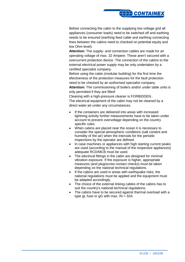

Before connecting the cabin to the supplying low voltage grid all appliances (consumer loads) need to be switched off and earthing needs to be ensured (earthing feed cable and earthing connecting lines between the cabins need to checked on potential equity and low Ohm level).

**Attention:** The supply- and connection cables are made for an operating voltage of max. 32 Ampere. These aren't secured with a overcurrent protection device. The connection of the cabins to the external electrical power supply may be only undertaken by a certified specialist company.

Before using the cabin (modular building) for the first time the efectiveness of the protection measures for the fault protection need to be checked by an authorised specialist company.

**Attention:** The commissioning of boilers and/or under table units is only permitted if they are filled!

Cleaning with a high-pressure cleaner is FORBIDDEN..

The electrical equipment of the cabin may not be cleaned by a direct water jet under any circumstances.

- If the containers are delivered into areas with increased lightning activity further measurements have to be taken under account to prevent overvoltage depending on the country specific rules.
- When cabins are placed near the ocean it is necessary to consider the special atmospheric conditions (salt content and humidity of the air) when the intervals for the periodic inspections by the operator are defined.
- In case machines or appliances with high starting current peaks are used (according to the manual of the respective appliances) adequate RCD/MCB must be used.
- The electrical fittings in the cabin are designed for minimal vibration exposure. If the exposure is higher, appropriate measures (and plug/screw contact checks) must be taken depending on the national technical regulations.
- If the cabins are used in areas with earthquake risks, the national regulations must be applied and the equipment must be adapted accordingly.
- The choice of the external linking cables of the cabins has to suit the country's national technical regulations.
- The cabins have to be secured against thermal overload with a type gL fuse or gG with max.  $IN = 32A$ .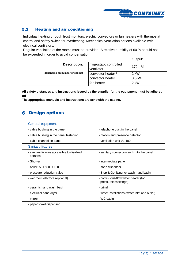

#### <span id="page-15-0"></span>Heating and air conditioning  $5.2$

Individual heating through frost monitors, electric convectors or fan heaters with thermostat control and safety switch for overheating. Mechanical ventilation options available with electrical ventilators.

Regular ventilation of the rooms must be provided. A relative humidity of 60 % should not be exceeded in order to avoid condensation.

|                                 |                                      | Output:             |
|---------------------------------|--------------------------------------|---------------------|
| <b>Description:</b>             | hygrostatic controlled<br>ventilator | $170 \text{ m}^3/h$ |
| (depending on number of cabins) | convector heater                     | 2 kW                |
|                                 | convector heater                     | $0.5$ kW            |
|                                 | fan heater                           | 2 kW                |

**All safety distances and instructions issued by the supplier for the equipment must be adhered to!**

<span id="page-15-1"></span>**The appropriate manuals and instructions are sent with the cabins.**

# **6 Design options**

| <b>General equipment</b>                              |                                                               |
|-------------------------------------------------------|---------------------------------------------------------------|
| - cable bushing in the panel                          | - telephone duct in the panel                                 |
| - cable bushing in the panel fastening                | - motion and presence detector                                |
| - cable channel on panel                              | - ventilation unit VL-100                                     |
| <b>Sanitary fixtures</b>                              |                                                               |
| - sanitary fixtures accessible to disabled<br>persons | - sanitary connection sunk into the panel                     |
| - Shower                                              | - intermediate panel                                          |
| - boiler: 50 l / 80 l / 150 l                         | - soap dispenser                                              |
| - pressure reduction valve                            | - Stop & Go fitting for wash hand basin                       |
| - wet room electrics (optional)                       | - continuous-flow water heater (for<br>pressureless fittings) |
| - ceramic hand wash basin                             | - urinal                                                      |
| - electrical hand dryer                               | - water installations (water inlet and outlet)                |
| - mirror                                              | - WC cabin                                                    |
| - paper towel dispenser                               |                                                               |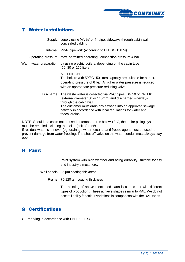

# <span id="page-16-0"></span>Water installations

Supply: supply using ½", ¾" or 1" pipe, sideways through cabin wall concealed cabling Internal: PP-R pipework (according to EN ISO 15874) Operating pressure: max. permitted operating / connection pressure 4 bar Warm water preparation: by using electric boilers, depending on the cabin type (50, 80 or 150 liters) ATTENTION: The boilers with 50/80/150 litres capacity are suitable for a max. operating pressure of 6 bar. A higher water pressure is reduced with an appropriate pressure reducing valve! Discharge: The waste water is collected via PVC pipes, DN 50 or DN 110 (external diameter 50 or 110mm) and discharged sideways through the cabin wall. The customer must drain any sewage into an approved sewage network in accordance with local regulations for water and faecal drains.

NOTE: Should the cabin not be used at temperatures below +3°C, the entire piping system must be emptied including the boiler (risk of frost!).

If residual water is left over (eg. drainage water, etc.) an anti-freeze agent must be used to prevent damage from water freezing. The shut-off valve on the water conduit must always stay open.

# <span id="page-16-1"></span>**8** Paint

Paint system with high weather and aging durability, suitable for city and industry atmosphere.

Wall panels: 25 µm coating thickness

Frame: 75-120 µm coating thickness

The painting of above mentioned parts is carried out with different types of production.. These achieve shades similar to RAL. We do not accept liability for colour variations in comparison with the RAL tones..

# <span id="page-16-2"></span>**9 Certifications**

CE marking in accordance with EN 1090 EXC 2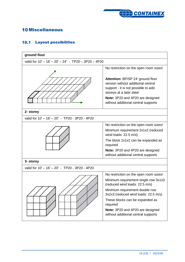

# <span id="page-17-0"></span>**10 Miscellaneous**

# <span id="page-17-1"></span>10.1 Layout possibilities

| ground floor                                         |                                                                                                                                            |
|------------------------------------------------------|--------------------------------------------------------------------------------------------------------------------------------------------|
| valid for 10' - 16' - 20' - 24' - TP20 - 3P20 - 4P20 |                                                                                                                                            |
|                                                      | No restriction on the open room sizes!                                                                                                     |
|                                                      | Attention: BP/SP 24' ground floor<br>version without additional central<br>support - it is not possible to add<br>storeys at a later date! |
|                                                      | Note: 3P20 and 4P20 are designed<br>without additional central supports                                                                    |
| 2- storey                                            |                                                                                                                                            |
| valid for 10' - 16' - 20' - TP20 - 3P20 - 4P20       |                                                                                                                                            |
|                                                      | No restriction on the open room sizes!                                                                                                     |
|                                                      | Minimum requirement 2x1x2 (reduced<br>wind loads: $22.5 \text{ m/s}$ )                                                                     |
|                                                      | The block 2x1x2 can be expanded as<br>required                                                                                             |
|                                                      | Note: 3P20 and 4P20 are designed<br>without additional central supports                                                                    |
| 3- storey                                            |                                                                                                                                            |
| valid for 10' - 16' - 20' - TP20 - 3P20 - 4P20       |                                                                                                                                            |
|                                                      | No restriction on the open room sizes!                                                                                                     |
|                                                      | Minimum requirement single row 3x1x3<br>(reduced wind loads: 22.5 m/s)                                                                     |
|                                                      | Minimum requirement double row<br>3x2x3 (reduced wind loads: 22.5 m/s)                                                                     |
|                                                      | These blocks can be expanded as<br>required                                                                                                |
|                                                      | Note: 3P20 and 4P20 are designed<br>without additional central supports                                                                    |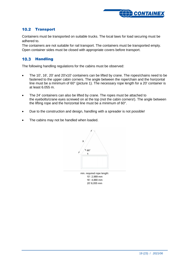

# <span id="page-18-0"></span>**10.2 Transport**

Containers must be transported on suitable trucks. The local laws for load securing must be adhered to.

The containers are not suitable for rail transport. The containers must be transported empty. Open container sides must be closed with appropriate covers before transport.

### <span id="page-18-1"></span>10.3 Handling

The following handling regulations for the cabins must be observed:

- The 10', 16', 20' and 20'x10' containers can be lifted by crane. The ropes/chains need to be fastened to the upper cabin corners. The angle between the rope/chain and the horizontal line must be a minimum of 60° (picture 1). The necessary rope length for a 20' container is at least 6.055 m.
- The 24' containers can also be lifted by crane. The ropes must be attached to the eyebolts/crane eyes screwed on at the top (not the cabin corners!). The angle between the lifting rope and the horizontal line must be a minimum of 60°.
- Due to the construction and design, handling with a spreader is not possible!
- The cabins may not be handled when loaded.



10': 2,989 mm 16': 4,880 mm 20':6,055 mm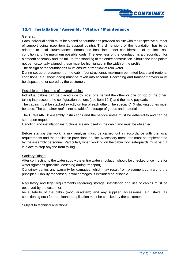

## <span id="page-19-0"></span>10.4 Installation / Assembly / Statics / Maintenance

### General:

Each individual cabin must be placed on foundations provided on site with the respective number of support points (see item 11 support points). The dimensions of the foundation has to be adapted to local circumstances, norms and frost line, under consideration of the local soil condition and the maximum possible loads. The levelness of the foundation is a precondition for a smooth assembly and the failure-free standing of the entire construction. Should the load points not be horizontally aligned, these must be highlighted in the width of the profile.

The design of the foundations must ensure a free flow of rain water.

During set up or placement of the cabin (constructions), maximum permitted loads and regional conditions (e.g. snow loads) must be taken into account. Packaging and transport covers must be disposed of or stored by the customer.

### Possible combinations of several cabins:

Individual cabins can be placed side by side, one behind the other or one on top of the other, taking into account the configuration options (see item 10.1) and the max. payloads.

The cabins must be stacked exactly on top of each other. The special CTX stacking cones must be used. The container roof is not suitable for storage of goods and materials.

The CONTAINEX assembly instructions and the service notes must be adhered to and can be sent upon request.

Handling and installation instructions are enclosed in the cabin and must be observed.

Before starting the work, a risk analysis must be carried out in accordance with the local requirements and the applicable provisions on site. Necessary measures must be implemented by the assembly personnel. Particularly when working on the cabin roof, safeguards must be put in place to stop anyone from falling.

### Sanitary fittings:

After connecting to the water supply the entire water circulation should be checked once more for water tightness (possible loosening during transport).

Containex denies any warranty for damages, which may result from placement contrary to the principles. Liability for consequential damages is excluded on principle.

Regulatory and legal requirements regarding storage, installation and use of cabins must be observed by the customer.

he suitability of the cabin (modularsystem) and any supplied accessories (e.g. stairs, air conditioning etc.) for the planned application must be checked by the customer.

Subject to technical alterations!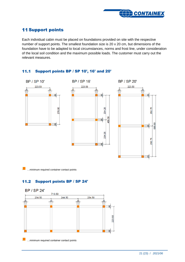

# <span id="page-20-0"></span>**11 Support points**

Each individual cabin must be placed on foundations provided on site with the respective number of support points. The smallest foundation size is 20 x 20 cm, but dimensions of the foundation have to be adapted to local circumstances, norms and frost line, under consideration of the local soil condition and the maximum possible loads. The customer must carry out the relevant measures.

#### <span id="page-20-1"></span> $11.1$ Support points BP / SP 10', 16' and 20'



 $\mathcal{L}_{\mathcal{A}}$ …minimum required container contact points

#### <span id="page-20-2"></span>Support points BP / SP 24'  $11.2$



…minimum required container contact points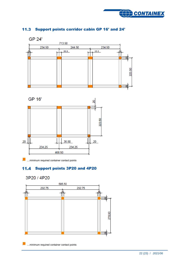

# <span id="page-21-0"></span>11.3 Support points corridor cabin GP 16' and 24'





<span id="page-21-1"></span>…minimum required container contact points

# 11.4 Support points 3P20 and 4P20

3P20 / 4P20



…minimum required container contact points